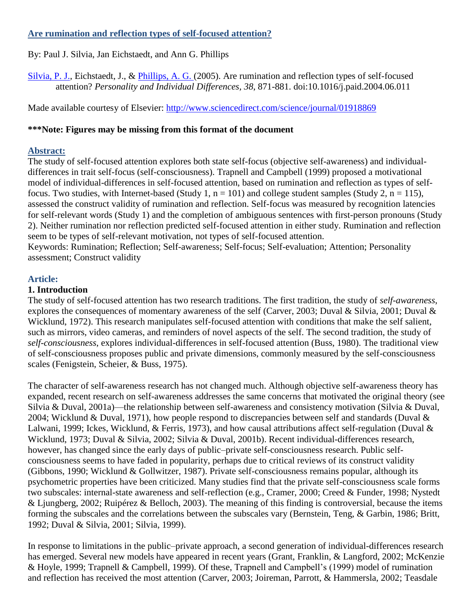#### **Are rumination and reflection types of self-focused attention?**

By: Paul J. Silvia, Jan Eichstaedt, and Ann G. Phillips

[Silvia, P. J.,](http://libres.uncg.edu/ir/uncg/clist.aspx?id=402) Eichstaedt, J., & [Phillips, A. G. \(](http://libres.uncg.edu/ir/uncg/clist.aspx?id=543)2005). Are rumination and reflection types of self-focused attention? *Personality and Individual Differences, 38*, 871-881. doi:10.1016/j.paid.2004.06.011

Made available courtesy of Elsevier:<http://www.sciencedirect.com/science/journal/01918869>

### **\*\*\*Note: Figures may be missing from this format of the document**

### **Abstract:**

The study of self-focused attention explores both state self-focus (objective self-awareness) and individualdifferences in trait self-focus (self-consciousness). Trapnell and Campbell (1999) proposed a motivational model of individual-differences in self-focused attention, based on rumination and reflection as types of selffocus. Two studies, with Internet-based (Study 1,  $n = 101$ ) and college student samples (Study 2,  $n = 115$ ), assessed the construct validity of rumination and reflection. Self-focus was measured by recognition latencies for self-relevant words (Study 1) and the completion of ambiguous sentences with first-person pronouns (Study 2). Neither rumination nor reflection predicted self-focused attention in either study. Rumination and reflection seem to be types of self-relevant motivation, not types of self-focused attention. Keywords: Rumination; Reflection; Self-awareness; Self-focus; Self-evaluation; Attention; Personality

assessment; Construct validity

### **Article:**

### **1. Introduction**

The study of self-focused attention has two research traditions. The first tradition, the study of *self-awareness*, explores the consequences of momentary awareness of the self (Carver, 2003; Duval & Silvia, 2001; Duval & Wicklund, 1972). This research manipulates self-focused attention with conditions that make the self salient, such as mirrors, video cameras, and reminders of novel aspects of the self. The second tradition, the study of *self-consciousness*, explores individual-differences in self-focused attention (Buss, 1980). The traditional view of self-consciousness proposes public and private dimensions, commonly measured by the self-consciousness scales (Fenigstein, Scheier, & Buss, 1975).

The character of self-awareness research has not changed much. Although objective self-awareness theory has expanded, recent research on self-awareness addresses the same concerns that motivated the original theory (see Silvia & Duval, 2001a)—the relationship between self-awareness and consistency motivation (Silvia & Duval, 2004; Wicklund & Duval, 1971), how people respond to discrepancies between self and standards (Duval & Lalwani, 1999; Ickes, Wicklund, & Ferris, 1973), and how causal attributions affect self-regulation (Duval & Wicklund, 1973; Duval & Silvia, 2002; Silvia & Duval, 2001b). Recent individual-differences research, however, has changed since the early days of public–private self-consciousness research. Public selfconsciousness seems to have faded in popularity, perhaps due to critical reviews of its construct validity (Gibbons, 1990; Wicklund & Gollwitzer, 1987). Private self-consciousness remains popular, although its psychometric properties have been criticized. Many studies find that the private self-consciousness scale forms two subscales: internal-state awareness and self-reflection (e.g., Cramer, 2000; Creed & Funder, 1998; Nystedt & Ljungberg, 2002; Ruipérez & Belloch, 2003). The meaning of this finding is controversial, because the items forming the subscales and the correlations between the subscales vary (Bernstein, Teng, & Garbin, 1986; Britt, 1992; Duval & Silvia, 2001; Silvia, 1999).

In response to limitations in the public–private approach, a second generation of individual-differences research has emerged. Several new models have appeared in recent years (Grant, Franklin, & Langford, 2002; McKenzie & Hoyle, 1999; Trapnell & Campbell, 1999). Of these, Trapnell and Campbell's (1999) model of rumination and reflection has received the most attention (Carver, 2003; Joireman, Parrott, & Hammersla, 2002; Teasdale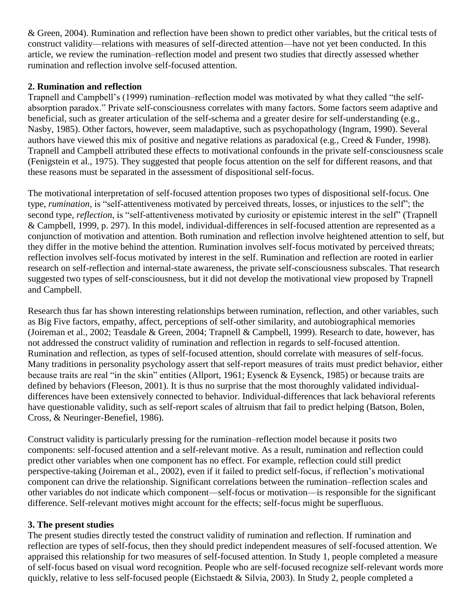& Green, 2004). Rumination and reflection have been shown to predict other variables, but the critical tests of construct validity—relations with measures of self-directed attention—have not yet been conducted. In this article, we review the rumination–reflection model and present two studies that directly assessed whether rumination and reflection involve self-focused attention.

### **2. Rumination and reflection**

Trapnell and Campbell's (1999) rumination–reflection model was motivated by what they called "the selfabsorption paradox.‖ Private self-consciousness correlates with many factors. Some factors seem adaptive and beneficial, such as greater articulation of the self-schema and a greater desire for self-understanding (e.g., Nasby, 1985). Other factors, however, seem maladaptive, such as psychopathology (Ingram, 1990). Several authors have viewed this mix of positive and negative relations as paradoxical (e.g., Creed & Funder, 1998). Trapnell and Campbell attributed these effects to motivational confounds in the private self-consciousness scale (Fenigstein et al., 1975). They suggested that people focus attention on the self for different reasons, and that these reasons must be separated in the assessment of dispositional self-focus.

The motivational interpretation of self-focused attention proposes two types of dispositional self-focus. One type, *rumination*, is "self-attentiveness motivated by perceived threats, losses, or injustices to the self"; the second type, *reflection*, is "self-attentiveness motivated by curiosity or epistemic interest in the self" (Trapnell & Campbell, 1999, p. 297). In this model, individual-differences in self-focused attention are represented as a conjunction of motivation and attention. Both rumination and reflection involve heightened attention to self, but they differ in the motive behind the attention. Rumination involves self-focus motivated by perceived threats; reflection involves self-focus motivated by interest in the self. Rumination and reflection are rooted in earlier research on self-reflection and internal-state awareness, the private self-consciousness subscales. That research suggested two types of self-consciousness, but it did not develop the motivational view proposed by Trapnell and Campbell.

Research thus far has shown interesting relationships between rumination, reflection, and other variables, such as Big Five factors, empathy, affect, perceptions of self-other similarity, and autobiographical memories (Joireman et al., 2002; Teasdale & Green, 2004; Trapnell & Campbell, 1999). Research to date, however, has not addressed the construct validity of rumination and reflection in regards to self-focused attention. Rumination and reflection, as types of self-focused attention, should correlate with measures of self-focus. Many traditions in personality psychology assert that self-report measures of traits must predict behavior, either because traits are real "in the skin" entities (Allport, 1961; Eysenck & Eysenck, 1985) or because traits are defined by behaviors (Fleeson, 2001). It is thus no surprise that the most thoroughly validated individualdifferences have been extensively connected to behavior. Individual-differences that lack behavioral referents have questionable validity, such as self-report scales of altruism that fail to predict helping (Batson, Bolen, Cross, & Neuringer-Benefiel, 1986).

Construct validity is particularly pressing for the rumination–reflection model because it posits two components: self-focused attention and a self-relevant motive. As a result, rumination and reflection could predict other variables when one component has no effect. For example, reflection could still predict perspective-taking (Joireman et al., 2002), even if it failed to predict self-focus, if reflection's motivational component can drive the relationship. Significant correlations between the rumination–reflection scales and other variables do not indicate which component—self-focus or motivation—is responsible for the significant difference. Self-relevant motives might account for the effects; self-focus might be superfluous.

#### **3. The present studies**

The present studies directly tested the construct validity of rumination and reflection. If rumination and reflection are types of self-focus, then they should predict independent measures of self-focused attention. We appraised this relationship for two measures of self-focused attention. In Study 1, people completed a measure of self-focus based on visual word recognition. People who are self-focused recognize self-relevant words more quickly, relative to less self-focused people (Eichstaedt & Silvia, 2003). In Study 2, people completed a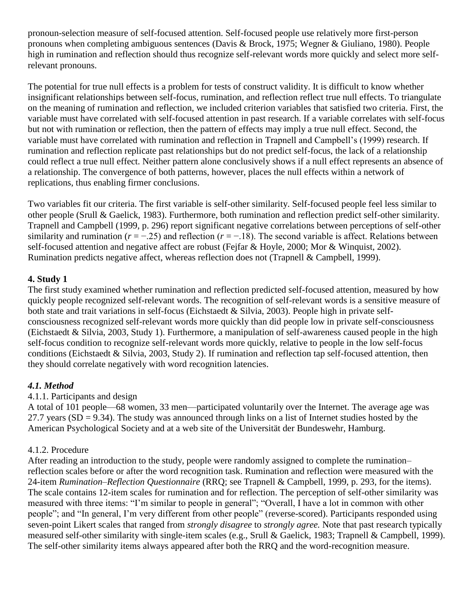pronoun-selection measure of self-focused attention. Self-focused people use relatively more first-person pronouns when completing ambiguous sentences (Davis & Brock, 1975; Wegner & Giuliano, 1980). People high in rumination and reflection should thus recognize self-relevant words more quickly and select more selfrelevant pronouns.

The potential for true null effects is a problem for tests of construct validity. It is difficult to know whether insignificant relationships between self-focus, rumination, and reflection reflect true null effects. To triangulate on the meaning of rumination and reflection, we included criterion variables that satisfied two criteria. First, the variable must have correlated with self-focused attention in past research. If a variable correlates with self-focus but not with rumination or reflection, then the pattern of effects may imply a true null effect. Second, the variable must have correlated with rumination and reflection in Trapnell and Campbell's (1999) research. If rumination and reflection replicate past relationships but do not predict self-focus, the lack of a relationship could reflect a true null effect. Neither pattern alone conclusively shows if a null effect represents an absence of a relationship. The convergence of both patterns, however, places the null effects within a network of replications, thus enabling firmer conclusions.

Two variables fit our criteria. The first variable is self-other similarity. Self-focused people feel less similar to other people (Srull & Gaelick, 1983). Furthermore, both rumination and reflection predict self-other similarity. Trapnell and Campbell (1999, p. 296) report significant negative correlations between perceptions of self-other similarity and rumination ( $r = -0.25$ ) and reflection ( $r = -0.18$ ). The second variable is affect. Relations between self-focused attention and negative affect are robust (Fejfar & Hoyle, 2000; Mor & Winquist, 2002). Rumination predicts negative affect, whereas reflection does not (Trapnell & Campbell, 1999).

#### **4. Study 1**

The first study examined whether rumination and reflection predicted self-focused attention, measured by how quickly people recognized self-relevant words. The recognition of self-relevant words is a sensitive measure of both state and trait variations in self-focus (Eichstaedt & Silvia, 2003). People high in private selfconsciousness recognized self-relevant words more quickly than did people low in private self-consciousness (Eichstaedt & Silvia, 2003, Study 1). Furthermore, a manipulation of self-awareness caused people in the high self-focus condition to recognize self-relevant words more quickly, relative to people in the low self-focus conditions (Eichstaedt & Silvia, 2003, Study 2). If rumination and reflection tap self-focused attention, then they should correlate negatively with word recognition latencies.

#### *4.1. Method*

#### 4.1.1. Participants and design

A total of 101 people—68 women, 33 men—participated voluntarily over the Internet. The average age was 27.7 years ( $SD = 9.34$ ). The study was announced through links on a list of Internet studies hosted by the American Psychological Society and at a web site of the Universität der Bundeswehr, Hamburg.

#### 4.1.2. Procedure

After reading an introduction to the study, people were randomly assigned to complete the rumination– reflection scales before or after the word recognition task. Rumination and reflection were measured with the 24-item *Rumination–Reflection Questionnaire* (RRQ; see Trapnell & Campbell, 1999, p. 293, for the items). The scale contains 12-item scales for rumination and for reflection. The perception of self-other similarity was measured with three items: "I'm similar to people in general"; "Overall, I have a lot in common with other people"; and "In general, I'm very different from other people" (reverse-scored). Participants responded using seven-point Likert scales that ranged from *strongly disagree* to *strongly agree.* Note that past research typically measured self-other similarity with single-item scales (e.g., Srull & Gaelick, 1983; Trapnell & Campbell, 1999). The self-other similarity items always appeared after both the RRQ and the word-recognition measure.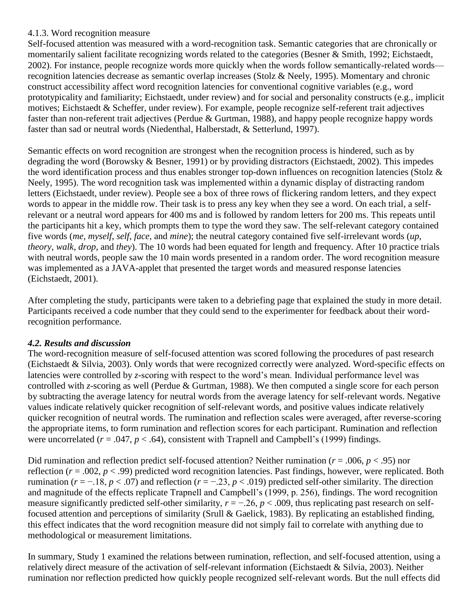### 4.1.3. Word recognition measure

Self-focused attention was measured with a word-recognition task. Semantic categories that are chronically or momentarily salient facilitate recognizing words related to the categories (Besner & Smith, 1992; Eichstaedt, 2002). For instance, people recognize words more quickly when the words follow semantically-related words recognition latencies decrease as semantic overlap increases (Stolz & Neely, 1995). Momentary and chronic construct accessibility affect word recognition latencies for conventional cognitive variables (e.g., word prototypicality and familiarity; Eichstaedt, under review) and for social and personality constructs (e.g., implicit motives; Eichstaedt & Scheffer, under review). For example, people recognize self-referent trait adjectives faster than non-referent trait adjectives (Perdue & Gurtman, 1988), and happy people recognize happy words faster than sad or neutral words (Niedenthal, Halberstadt, & Setterlund, 1997).

Semantic effects on word recognition are strongest when the recognition process is hindered, such as by degrading the word (Borowsky & Besner, 1991) or by providing distractors (Eichstaedt, 2002). This impedes the word identification process and thus enables stronger top-down influences on recognition latencies (Stolz & Neely, 1995). The word recognition task was implemented within a dynamic display of distracting random letters (Eichstaedt, under review). People see a box of three rows of flickering random letters, and they expect words to appear in the middle row. Their task is to press any key when they see a word. On each trial, a selfrelevant or a neutral word appears for 400 ms and is followed by random letters for 200 ms. This repeats until the participants hit a key, which prompts them to type the word they saw. The self-relevant category contained five words (*me*, *myself*, *self*, *face*, and *mine*); the neutral category contained five self-irrelevant words (*up*, *theory*, *walk*, *drop*, and *they*). The 10 words had been equated for length and frequency. After 10 practice trials with neutral words, people saw the 10 main words presented in a random order. The word recognition measure was implemented as a JAVA-applet that presented the target words and measured response latencies (Eichstaedt, 2001).

After completing the study, participants were taken to a debriefing page that explained the study in more detail. Participants received a code number that they could send to the experimenter for feedback about their wordrecognition performance.

## *4.2. Results and discussion*

The word-recognition measure of self-focused attention was scored following the procedures of past research (Eichstaedt & Silvia, 2003). Only words that were recognized correctly were analyzed. Word-specific effects on latencies were controlled by *z*-scoring with respect to the word's mean. Individual performance level was controlled with *z*-scoring as well (Perdue & Gurtman, 1988). We then computed a single score for each person by subtracting the average latency for neutral words from the average latency for self-relevant words. Negative values indicate relatively quicker recognition of self-relevant words, and positive values indicate relatively quicker recognition of neutral words. The rumination and reflection scales were averaged, after reverse-scoring the appropriate items, to form rumination and reflection scores for each participant. Rumination and reflection were uncorrelated ( $r = .047$ ,  $p < .64$ ), consistent with Trapnell and Campbell's (1999) findings.

Did rumination and reflection predict self-focused attention? Neither rumination ( $r = .006$ ,  $p < .95$ ) nor reflection (*r* = .002, *p* < .99) predicted word recognition latencies. Past findings, however, were replicated. Both rumination ( $r = -18$ ,  $p < .07$ ) and reflection ( $r = -23$ ,  $p < .019$ ) predicted self-other similarity. The direction and magnitude of the effects replicate Trapnell and Campbell's (1999, p. 256), findings. The word recognition measure significantly predicted self-other similarity,  $r = -0.26$ ,  $p < 0.009$ , thus replicating past research on selffocused attention and perceptions of similarity (Srull & Gaelick, 1983). By replicating an established finding, this effect indicates that the word recognition measure did not simply fail to correlate with anything due to methodological or measurement limitations.

In summary, Study 1 examined the relations between rumination, reflection, and self-focused attention, using a relatively direct measure of the activation of self-relevant information (Eichstaedt & Silvia, 2003). Neither rumination nor reflection predicted how quickly people recognized self-relevant words. But the null effects did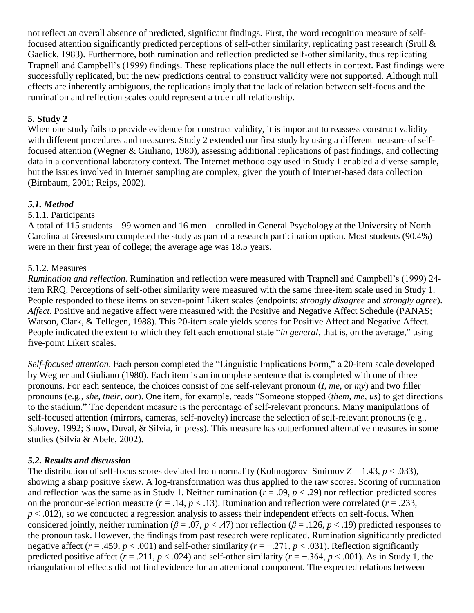not reflect an overall absence of predicted, significant findings. First, the word recognition measure of selffocused attention significantly predicted perceptions of self-other similarity, replicating past research (Srull & Gaelick, 1983). Furthermore, both rumination and reflection predicted self-other similarity, thus replicating Trapnell and Campbell's (1999) findings. These replications place the null effects in context. Past findings were successfully replicated, but the new predictions central to construct validity were not supported. Although null effects are inherently ambiguous, the replications imply that the lack of relation between self-focus and the rumination and reflection scales could represent a true null relationship.

### **5. Study 2**

When one study fails to provide evidence for construct validity, it is important to reassess construct validity with different procedures and measures. Study 2 extended our first study by using a different measure of selffocused attention (Wegner & Giuliano, 1980), assessing additional replications of past findings, and collecting data in a conventional laboratory context. The Internet methodology used in Study 1 enabled a diverse sample, but the issues involved in Internet sampling are complex, given the youth of Internet-based data collection (Birnbaum, 2001; Reips, 2002).

### *5.1. Method*

#### 5.1.1. Participants

A total of 115 students—99 women and 16 men—enrolled in General Psychology at the University of North Carolina at Greensboro completed the study as part of a research participation option. Most students (90.4%) were in their first year of college; the average age was 18.5 years.

#### 5.1.2. Measures

*Rumination and reflection*. Rumination and reflection were measured with Trapnell and Campbell's (1999) 24 item RRQ. Perceptions of self-other similarity were measured with the same three-item scale used in Study 1. People responded to these items on seven-point Likert scales (endpoints: *strongly disagree* and *strongly agree*). *Affect*. Positive and negative affect were measured with the Positive and Negative Affect Schedule (PANAS; Watson, Clark, & Tellegen, 1988). This 20-item scale yields scores for Positive Affect and Negative Affect. People indicated the extent to which they felt each emotional state "*in general*, that is, on the average," using five-point Likert scales.

*Self-focused attention*. Each person completed the "Linguistic Implications Form," a 20-item scale developed by Wegner and Giuliano (1980). Each item is an incomplete sentence that is completed with one of three pronouns. For each sentence, the choices consist of one self-relevant pronoun (*I*, *me*, or *my*) and two filler pronouns (e.g., *she*, *their*, *our*). One item, for example, reads "Someone stopped (*them, me, us*) to get directions to the stadium." The dependent measure is the percentage of self-relevant pronouns. Many manipulations of self-focused attention (mirrors, cameras, self-novelty) increase the selection of self-relevant pronouns (e.g., Salovey, 1992; Snow, Duval, & Silvia, in press). This measure has outperformed alternative measures in some studies (Silvia & Abele, 2002).

#### *5.2. Results and discussion*

The distribution of self-focus scores deviated from normality (Kolmogorov–Smirnov  $Z = 1.43$ ,  $p < .033$ ), showing a sharp positive skew. A log-transformation was thus applied to the raw scores. Scoring of rumination and reflection was the same as in Study 1. Neither rumination ( $r = .09$ ,  $p < .29$ ) nor reflection predicted scores on the pronoun-selection measure  $(r = .14, p < .13)$ . Rumination and reflection were correlated  $(r = .233,$  $p < .012$ ), so we conducted a regression analysis to assess their independent effects on self-focus. When considered jointly, neither rumination ( $\beta = .07$ ,  $p < .47$ ) nor reflection ( $\beta = .126$ ,  $p < .19$ ) predicted responses to the pronoun task. However, the findings from past research were replicated. Rumination significantly predicted negative affect ( $r = .459$ ,  $p < .001$ ) and self-other similarity ( $r = -.271$ ,  $p < .031$ ). Reflection significantly predicted positive affect ( $r = .211$ ,  $p < .024$ ) and self-other similarity ( $r = -.364$ ,  $p < .001$ ). As in Study 1, the triangulation of effects did not find evidence for an attentional component. The expected relations between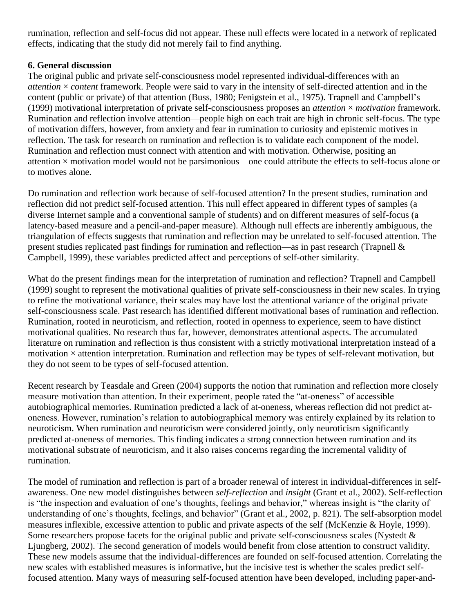rumination, reflection and self-focus did not appear. These null effects were located in a network of replicated effects, indicating that the study did not merely fail to find anything.

#### **6. General discussion**

The original public and private self-consciousness model represented individual-differences with an *attention* × *content* framework. People were said to vary in the intensity of self-directed attention and in the content (public or private) of that attention (Buss, 1980; Fenigstein et al., 1975). Trapnell and Campbell's (1999) motivational interpretation of private self-consciousness proposes an *attention* × *motivation* framework. Rumination and reflection involve attention—people high on each trait are high in chronic self-focus. The type of motivation differs, however, from anxiety and fear in rumination to curiosity and epistemic motives in reflection. The task for research on rumination and reflection is to validate each component of the model. Rumination and reflection must connect with attention and with motivation. Otherwise, positing an attention × motivation model would not be parsimonious—one could attribute the effects to self-focus alone or to motives alone.

Do rumination and reflection work because of self-focused attention? In the present studies, rumination and reflection did not predict self-focused attention. This null effect appeared in different types of samples (a diverse Internet sample and a conventional sample of students) and on different measures of self-focus (a latency-based measure and a pencil-and-paper measure). Although null effects are inherently ambiguous, the triangulation of effects suggests that rumination and reflection may be unrelated to self-focused attention. The present studies replicated past findings for rumination and reflection—as in past research (Trapnell & Campbell, 1999), these variables predicted affect and perceptions of self-other similarity.

What do the present findings mean for the interpretation of rumination and reflection? Trapnell and Campbell (1999) sought to represent the motivational qualities of private self-consciousness in their new scales. In trying to refine the motivational variance, their scales may have lost the attentional variance of the original private self-consciousness scale. Past research has identified different motivational bases of rumination and reflection. Rumination, rooted in neuroticism, and reflection, rooted in openness to experience, seem to have distinct motivational qualities. No research thus far, however, demonstrates attentional aspects. The accumulated literature on rumination and reflection is thus consistent with a strictly motivational interpretation instead of a motivation × attention interpretation. Rumination and reflection may be types of self-relevant motivation, but they do not seem to be types of self-focused attention.

Recent research by Teasdale and Green (2004) supports the notion that rumination and reflection more closely measure motivation than attention. In their experiment, people rated the "at-oneness" of accessible autobiographical memories. Rumination predicted a lack of at-oneness, whereas reflection did not predict atoneness. However, rumination's relation to autobiographical memory was entirely explained by its relation to neuroticism. When rumination and neuroticism were considered jointly, only neuroticism significantly predicted at-oneness of memories. This finding indicates a strong connection between rumination and its motivational substrate of neuroticism, and it also raises concerns regarding the incremental validity of rumination.

The model of rumination and reflection is part of a broader renewal of interest in individual-differences in selfawareness. One new model distinguishes between *self-reflection* and *insight* (Grant et al., 2002). Self-reflection is "the inspection and evaluation of one's thoughts, feelings and behavior," whereas insight is "the clarity of understanding of one's thoughts, feelings, and behavior" (Grant et al., 2002, p. 821). The self-absorption model measures inflexible, excessive attention to public and private aspects of the self (McKenzie & Hoyle, 1999). Some researchers propose facets for the original public and private self-consciousness scales (Nystedt & Ljungberg, 2002). The second generation of models would benefit from close attention to construct validity. These new models assume that the individual-differences are founded on self-focused attention. Correlating the new scales with established measures is informative, but the incisive test is whether the scales predict selffocused attention. Many ways of measuring self-focused attention have been developed, including paper-and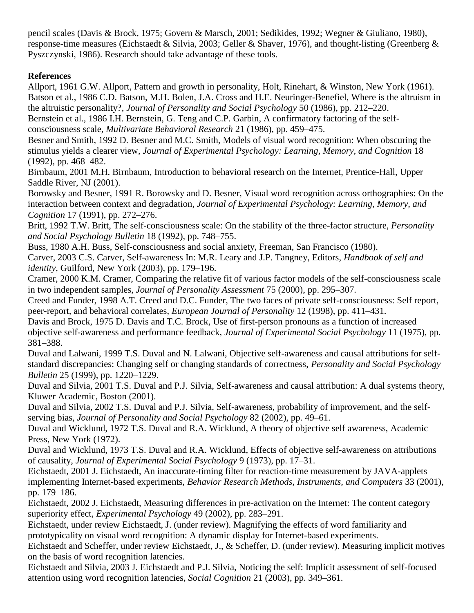pencil scales (Davis & Brock, 1975; Govern & Marsch, 2001; Sedikides, 1992; Wegner & Giuliano, 1980), response-time measures (Eichstaedt & Silvia, 2003; Geller & Shaver, 1976), and thought-listing (Greenberg & Pyszczynski, 1986). Research should take advantage of these tools.

# **References**

Allport, 1961 G.W. Allport, Pattern and growth in personality, Holt, Rinehart, & Winston, New York (1961). Batson et al., 1986 C.D. Batson, M.H. Bolen, J.A. Cross and H.E. Neuringer-Benefiel, Where is the altruism in the altruistic personality?, *Journal of Personality and Social Psychology* 50 (1986), pp. 212–220.

Bernstein et al., 1986 I.H. Bernstein, G. Teng and C.P. Garbin, A confirmatory factoring of the selfconsciousness scale, *Multivariate Behavioral Research* 21 (1986), pp. 459–475.

Besner and Smith, 1992 D. Besner and M.C. Smith, Models of visual word recognition: When obscuring the stimulus yields a clearer view, *Journal of Experimental Psychology: Learning, Memory, and Cognition* 18 (1992), pp. 468–482.

Birnbaum, 2001 M.H. Birnbaum, Introduction to behavioral research on the Internet, Prentice-Hall, Upper Saddle River, NJ (2001).

Borowsky and Besner, 1991 R. Borowsky and D. Besner, Visual word recognition across orthographies: On the interaction between context and degradation, *Journal of Experimental Psychology: Learning, Memory, and Cognition* 17 (1991), pp. 272–276.

Britt, 1992 T.W. Britt, The self-consciousness scale: On the stability of the three-factor structure, *Personality and Social Psychology Bulletin* 18 (1992), pp. 748–755.

Buss, 1980 A.H. Buss, Self-consciousness and social anxiety, Freeman, San Francisco (1980).

Carver, 2003 C.S. Carver, Self-awareness In: M.R. Leary and J.P. Tangney, Editors, *Handbook of self and identity*, Guilford, New York (2003), pp. 179–196.

Cramer, 2000 K.M. Cramer, Comparing the relative fit of various factor models of the self-consciousness scale in two independent samples, *Journal of Personality Assessment* 75 (2000), pp. 295–307.

Creed and Funder, 1998 A.T. Creed and D.C. Funder, The two faces of private self-consciousness: Self report, peer-report, and behavioral correlates, *European Journal of Personality* 12 (1998), pp. 411–431.

Davis and Brock, 1975 D. Davis and T.C. Brock, Use of first-person pronouns as a function of increased objective self-awareness and performance feedback, *Journal of Experimental Social Psychology* 11 (1975), pp. 381–388.

Duval and Lalwani, 1999 T.S. Duval and N. Lalwani, Objective self-awareness and causal attributions for selfstandard discrepancies: Changing self or changing standards of correctness, *Personality and Social Psychology Bulletin* 25 (1999), pp. 1220–1229.

Duval and Silvia, 2001 T.S. Duval and P.J. Silvia, Self-awareness and causal attribution: A dual systems theory, Kluwer Academic, Boston (2001).

Duval and Silvia, 2002 T.S. Duval and P.J. Silvia, Self-awareness, probability of improvement, and the selfserving bias, *Journal of Personality and Social Psychology* 82 (2002), pp. 49–61.

Duval and Wicklund, 1972 T.S. Duval and R.A. Wicklund, A theory of objective self awareness, Academic Press, New York (1972).

Duval and Wicklund, 1973 T.S. Duval and R.A. Wicklund, Effects of objective self-awareness on attributions of causality, *Journal of Experimental Social Psychology* 9 (1973), pp. 17–31.

Eichstaedt, 2001 J. Eichstaedt, An inaccurate-timing filter for reaction-time measurement by JAVA-applets implementing Internet-based experiments, *Behavior Research Methods, Instruments, and Computers* 33 (2001), pp. 179–186.

Eichstaedt, 2002 J. Eichstaedt, Measuring differences in pre-activation on the Internet: The content category superiority effect, *Experimental Psychology* 49 (2002), pp. 283–291.

Eichstaedt, under review Eichstaedt, J. (under review). Magnifying the effects of word familiarity and prototypicality on visual word recognition: A dynamic display for Internet-based experiments.

Eichstaedt and Scheffer, under review Eichstaedt, J., & Scheffer, D. (under review). Measuring implicit motives on the basis of word recognition latencies.

Eichstaedt and Silvia, 2003 J. Eichstaedt and P.J. Silvia, Noticing the self: Implicit assessment of self-focused attention using word recognition latencies, *Social Cognition* 21 (2003), pp. 349–361.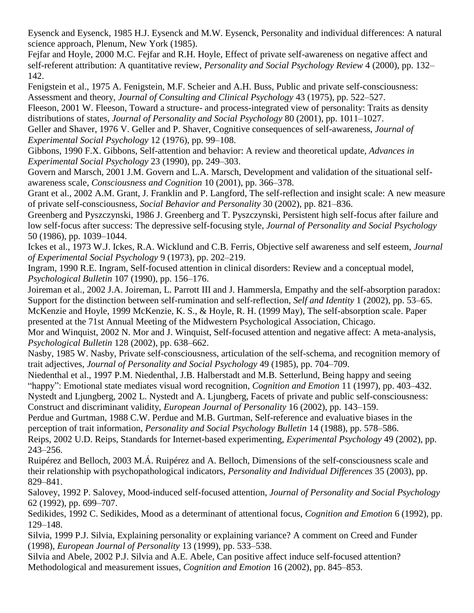Eysenck and Eysenck, 1985 H.J. Eysenck and M.W. Eysenck, Personality and individual differences: A natural science approach, Plenum, New York (1985).

Fejfar and Hoyle, 2000 M.C. Fejfar and R.H. Hoyle, Effect of private self-awareness on negative affect and self-referent attribution: A quantitative review, *Personality and Social Psychology Review* 4 (2000), pp. 132– 142.

Fenigstein et al., 1975 A. Fenigstein, M.F. Scheier and A.H. Buss, Public and private self-consciousness: Assessment and theory, *Journal of Consulting and Clinical Psychology* 43 (1975), pp. 522–527.

Fleeson, 2001 W. Fleeson, Toward a structure- and process-integrated view of personality: Traits as density distributions of states, *Journal of Personality and Social Psychology* 80 (2001), pp. 1011–1027.

Geller and Shaver, 1976 V. Geller and P. Shaver, Cognitive consequences of self-awareness, *Journal of Experimental Social Psychology* 12 (1976), pp. 99–108.

Gibbons, 1990 F.X. Gibbons, Self-attention and behavior: A review and theoretical update, *Advances in Experimental Social Psychology* 23 (1990), pp. 249–303.

Govern and Marsch, 2001 J.M. Govern and L.A. Marsch, Development and validation of the situational selfawareness scale, *Consciousness and Cognition* 10 (2001), pp. 366–378.

Grant et al., 2002 A.M. Grant, J. Franklin and P. Langford, The self-reflection and insight scale: A new measure of private self-consciousness, *Social Behavior and Personality* 30 (2002), pp. 821–836.

Greenberg and Pyszczynski, 1986 J. Greenberg and T. Pyszczynski, Persistent high self-focus after failure and low self-focus after success: The depressive self-focusing style, *Journal of Personality and Social Psychology* 50 (1986), pp. 1039–1044.

Ickes et al., 1973 W.J. Ickes, R.A. Wicklund and C.B. Ferris, Objective self awareness and self esteem, *Journal of Experimental Social Psychology* 9 (1973), pp. 202–219.

Ingram, 1990 R.E. Ingram, Self-focused attention in clinical disorders: Review and a conceptual model, *Psychological Bulletin* 107 (1990), pp. 156–176.

Joireman et al., 2002 J.A. Joireman, L. Parrott III and J. Hammersla, Empathy and the self-absorption paradox: Support for the distinction between self-rumination and self-reflection, *Self and Identity* 1 (2002), pp. 53–65. McKenzie and Hoyle, 1999 McKenzie, K. S., & Hoyle, R. H. (1999 May), The self-absorption scale. Paper

presented at the 71st Annual Meeting of the Midwestern Psychological Association, Chicago. Mor and Winquist, 2002 N. Mor and J. Winquist, Self-focused attention and negative affect: A meta-analysis, *Psychological Bulletin* 128 (2002), pp. 638–662.

Nasby, 1985 W. Nasby, Private self-consciousness, articulation of the self-schema, and recognition memory of trait adjectives, *Journal of Personality and Social Psychology* 49 (1985), pp. 704–709.

Niedenthal et al., 1997 P.M. Niedenthal, J.B. Halberstadt and M.B. Setterlund, Being happy and seeing ―happy‖: Emotional state mediates visual word recognition, *Cognition and Emotion* 11 (1997), pp. 403–432. Nystedt and Ljungberg, 2002 L. Nystedt and A. Ljungberg, Facets of private and public self-consciousness: Construct and discriminant validity, *European Journal of Personality* 16 (2002), pp. 143–159.

Perdue and Gurtman, 1988 C.W. Perdue and M.B. Gurtman, Self-reference and evaluative biases in the perception of trait information, *Personality and Social Psychology Bulletin* 14 (1988), pp. 578–586.

Reips, 2002 U.D. Reips, Standards for Internet-based experimenting, *Experimental Psychology* 49 (2002), pp. 243–256.

Ruipérez and Belloch, 2003 M.Á. Ruipérez and A. Belloch, Dimensions of the self-consciousness scale and their relationship with psychopathological indicators, *Personality and Individual Differences* 35 (2003), pp. 829–841.

Salovey, 1992 P. Salovey, Mood-induced self-focused attention, *Journal of Personality and Social Psychology* 62 (1992), pp. 699–707.

Sedikides, 1992 C. Sedikides, Mood as a determinant of attentional focus, *Cognition and Emotion* 6 (1992), pp. 129–148.

Silvia, 1999 P.J. Silvia, Explaining personality or explaining variance? A comment on Creed and Funder (1998), *European Journal of Personality* 13 (1999), pp. 533–538.

Silvia and Abele, 2002 P.J. Silvia and A.E. Abele, Can positive affect induce self-focused attention? Methodological and measurement issues, *Cognition and Emotion* 16 (2002), pp. 845–853.